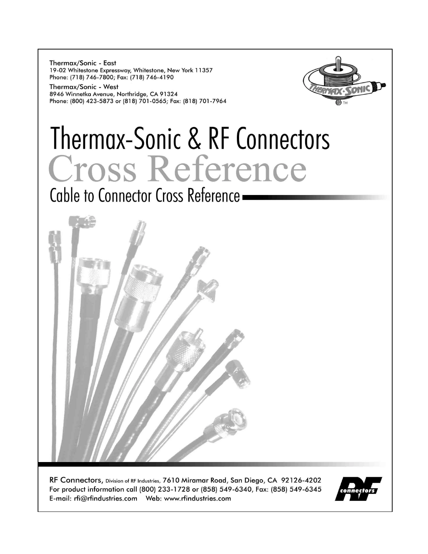Thermax/Sonic - East 19-02 Whitestone Expressway, Whitestone, New York 11357 Phone: (718) 746-7800; Fax: (718) 746-4190

Thermax/Sonic - West 8946 Winnetka Avenue, Northridge, CA 91324 Phone: (800) 423-5873 or (818) 701-0565; Fax: (818) 701-7964



# Thermax-Sonic & RF Connectors **Cross Reference**

Cable to Connector Cross Reference -



RF Connectors, Division of RF Industries, 7610 Miramar Road, San Diego, CA 92126-4202 For product information call (800) 233-1728 or (858) 549-6340, Fax: (858) 549-6345 

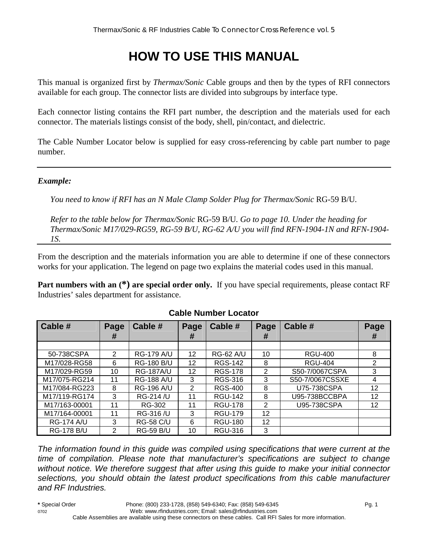# **HOW TO USE THIS MANUAL**

This manual is organized first by *Thermax/Sonic* Cable groups and then by the types of RFI connectors available for each group. The connector lists are divided into subgroups by interface type.

Each connector listing contains the RFI part number, the description and the materials used for each connector. The materials listings consist of the body, shell, pin/contact, and dielectric.

The Cable Number Locator below is supplied for easy cross-referencing by cable part number to page number.

#### *Example:*

*You need to know if RFI has an N Male Clamp Solder Plug for Thermax/Sonic* RG-59 B/U*.* 

*Refer to the table below for Thermax/Sonic* RG-59 B/U*. Go to page 10. Under the heading for Thermax/Sonic M17/029-RG59, RG-59 B/U, RG-62 A/U you will find RFN-1904-1N and RFN-1904- 1S.* 

From the description and the materials information you are able to determine if one of these connectors works for your application. The legend on page two explains the material codes used in this manual.

**Part numbers with an**  $(*)$  **are special order only.** If you have special requirements, please contact RF Industries' sales department for assistance.

| Cable #           | Page<br># | Cable #           | Page<br># | Cable #          | Page<br># | Cable #         | Page |
|-------------------|-----------|-------------------|-----------|------------------|-----------|-----------------|------|
|                   |           |                   |           |                  |           |                 | Ħ    |
| 50-738CSPA        | 2         | <b>RG-179 A/U</b> | 12        | <b>RG-62 A/U</b> | 10        | <b>RGU-400</b>  | 8    |
| M17/028-RG58      | 6         | <b>RG-180 B/U</b> | 12        | <b>RGS-142</b>   | 8         | <b>RGU-404</b>  | 2    |
| M17/029-RG59      | 10        | <b>RG-187A/U</b>  | 12        | <b>RGS-178</b>   | 2         | S50-7/0067CSPA  | 3    |
| M17/075-RG214     | 11        | <b>RG-188 A/U</b> | 3         | RGS-316          | 3         | S50-7/0067CSSXE | 4    |
| M17/084-RG223     | 8         | <b>RG-196 A/U</b> | 2         | <b>RGS-400</b>   | 8         | U75-738CSPA     | 12   |
| M17/119-RG174     | 3         | RG-214 /U         | 11        | <b>RGU-142</b>   | 8         | U95-738BCCBPA   | 12   |
| M17/163-00001     | 11        | RG-302            | 11        | <b>RGU-178</b>   | 2         | U95-738CSPA     | 12   |
| M17/164-00001     | 11        | RG-316 /U         | 3         | <b>RGU-179</b>   | 12        |                 |      |
| <b>RG-174 A/U</b> | 3         | <b>RG-58 C/U</b>  | 6         | <b>RGU-180</b>   | 12        |                 |      |
| <b>RG-178 B/U</b> | 2         | <b>RG-59 B/U</b>  | 10        | RGU-316          | 3         |                 |      |

#### **Cable Number Locator**

*The information found in this guide was compiled using specifications that were current at the time of compilation. Please note that manufacturer's specifications are subject to change without notice. We therefore suggest that after using this guide to make your initial connector selections, you should obtain the latest product specifications from this cable manufacturer and RF Industries.*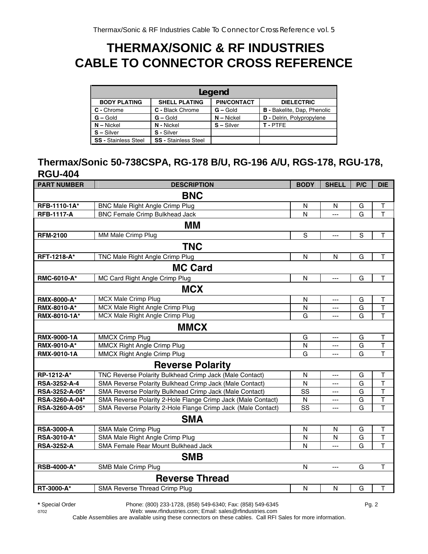# **THERMAX/SONIC & RF INDUSTRIES CABLE TO CONNECTOR CROSS REFERENCE**

| Legend                      |                             |                    |                                    |  |  |  |  |
|-----------------------------|-----------------------------|--------------------|------------------------------------|--|--|--|--|
| <b>BODY PLATING</b>         | <b>SHELL PLATING</b>        | <b>PIN/CONTACT</b> | <b>DIELECTRIC</b>                  |  |  |  |  |
| C - Chrome                  | C - Black Chrome            | $G -$ Gold         | <b>B</b> - Bakelite, Dap, Phenolic |  |  |  |  |
| $G -$ Gold                  | $G - Gold$                  | $N - Nickel$       | D - Delrin, Polypropylene          |  |  |  |  |
| $N - Nickel$                | N - Nickel                  | $S - Silver$       | T-PTFE                             |  |  |  |  |
| $S - Silver$                | S - Silver                  |                    |                                    |  |  |  |  |
| <b>SS - Stainless Steel</b> | <b>SS - Stainless Steel</b> |                    |                                    |  |  |  |  |

# **Thermax/Sonic 50-738CSPA, RG-178 B/U, RG-196 A/U, RGS-178, RGU-178, RGU-404**

| <b>PART NUMBER</b> | <b>DESCRIPTION</b>                                           | <b>BODY</b>   | <b>SHELL</b>   | P/C         | <b>DIE</b>              |
|--------------------|--------------------------------------------------------------|---------------|----------------|-------------|-------------------------|
|                    | <b>BNC</b>                                                   |               |                |             |                         |
| RFB-1110-1A*       | <b>BNC Male Right Angle Crimp Plug</b>                       | N             | N              | G           | Τ                       |
| <b>RFB-1117-A</b>  | <b>BNC Female Crimp Bulkhead Jack</b>                        | N             | ---            | G           | T                       |
|                    | MМ                                                           |               |                |             |                         |
| <b>RFM-2100</b>    | MM Male Crimp Plug                                           | ${\mathsf S}$ | ---            | $\mathsf S$ | $\top$                  |
|                    | <b>TNC</b>                                                   |               |                |             |                         |
| RFT-1218-A*        | TNC Male Right Angle Crimp Plug                              | N             | N              | G           | T                       |
|                    | <b>MC Card</b>                                               |               |                |             |                         |
| RMC-6010-A*        | MC Card Right Angle Crimp Plug                               | $\mathsf{N}$  | ---            | G           | $\top$                  |
|                    | <b>MCX</b>                                                   |               |                |             |                         |
| RMX-8000-A*        | <b>MCX Male Crimp Plug</b>                                   | $\mathsf{N}$  | ---            | G           | T                       |
| RMX-8010-A*        | MCX Male Right Angle Crimp Plug                              | N             | ---            | G           | $\mathsf T$             |
| RMX-8010-1A*       | MCX Male Right Angle Crimp Plug                              | G             | ---            | G           | $\overline{\mathsf{T}}$ |
|                    | <b>MMCX</b>                                                  |               |                |             |                         |
| RMX-9000-1A        | <b>MMCX Crimp Plug</b>                                       | G             | ---            | G           | T                       |
| RMX-9010-A*        | <b>MMCX Right Angle Crimp Plug</b>                           | N             | ---            | G           | $\mathsf T$             |
| RMX-9010-1A        | <b>MMCX Right Angle Crimp Plug</b>                           | G             | ---            | G           | $\overline{\mathsf{T}}$ |
|                    | <b>Reverse Polarity</b>                                      |               |                |             |                         |
| RP-1212-A*         | TNC Reverse Polarity Bulkhead Crimp Jack (Male Contact)      | $\mathsf{N}$  | ---            | G           | T                       |
| RSA-3252-A-4       | SMA Reverse Polarity Bulkhead Crimp Jack (Male Contact)      | N             | ---            | G           | T                       |
| RSA-3252-A-05*     | SMA Reverse Polarity Bulkhead Crimp Jack (Male Contact)      | SS            | ---            | G           | T                       |
| RSA-3260-A-04*     | SMA Reverse Polarity 2-Hole Flange Crimp Jack (Male Contact) | ${\sf N}$     | ---            | G           | $\sf T$                 |
| RSA-3260-A-05*     | SMA Reverse Polarity 2-Hole Flange Crimp Jack (Male Contact) | SS            | ---            | G           | $\mathsf{T}$            |
|                    | <b>SMA</b>                                                   |               |                |             |                         |
| <b>RSA-3000-A</b>  | SMA Male Crimp Plug                                          | N             | N              | G           | Τ                       |
| RSA-3010-A*        | SMA Male Right Angle Crimp Plug                              | N             | N              | G           | $\mathsf T$             |
| <b>RSA-3252-A</b>  | SMA Female Rear Mount Bulkhead Jack                          | N             | $---$          | G           | $\mathsf T$             |
|                    | <b>SMB</b>                                                   |               |                |             |                         |
| <b>RSB-4000-A*</b> | SMB Male Crimp Plug                                          | $\mathsf{N}$  | $\overline{a}$ | G           | $\top$                  |
|                    | <b>Reverse Thread</b>                                        |               |                |             |                         |
| RT-3000-A*         | SMA Reverse Thread Crimp Plug                                | N             | $\mathsf{N}$   | G           | T                       |

**\*** Special Order Phone: (800) 233-1728, (858) 549-6340; Fax: (858) 549-6345 Pg. 2

0702 Web: www.rfindustries.com; Email: sales@rfindustries.com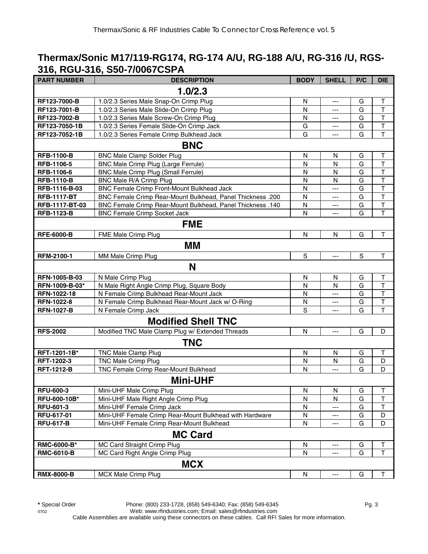# **Thermax/Sonic M17/119-RG174, RG-174 A/U, RG-188 A/U, RG-316 /U, RGS-316, RGU-316, S50-7/0067CSPA**

| ,<br><b>PART NUMBER</b> | <b>DESCRIPTION</b>                                                | <b>BODY</b> | <b>SHELL</b>   | P/C         | <b>DIE</b>              |
|-------------------------|-------------------------------------------------------------------|-------------|----------------|-------------|-------------------------|
|                         | 1.0/2.3                                                           |             |                |             |                         |
| RF123-7000-B            | 1.0/2.3 Series Male Snap-On Crimp Plug                            | N           | ---            | G           | $\top$                  |
| RF123-7001-B            | 1.0/2.3 Series Male Slide-On Crimp Plug                           | N           | ---            | G           | T                       |
| RF123-7002-B            | 1.0/2.3 Series Male Screw-On Crimp Plug                           | N           | ---            | G           | $\overline{\mathsf{T}}$ |
| RF123-7050-1B           | 1.0/2.3 Series Female Slide-On Crimp Jack                         | G           | ---            | G           | $\overline{\mathsf{T}}$ |
| RF123-7052-1B           | 1.0/2.3 Series Female Crimp Bulkhead Jack                         | G           | ---            | G           | $\overline{1}$          |
|                         | <b>BNC</b>                                                        |             |                |             |                         |
| <b>RFB-1100-B</b>       | <b>BNC Male Clamp Solder Plug</b>                                 | N           | N              | G           | T                       |
| RFB-1106-5              | BNC Male Crimp Plug (Large Ferrule)                               | N           | N              | G           | $\overline{\mathsf{T}}$ |
| RFB-1106-6              | <b>BNC Male Crimp Plug (Small Ferrule)</b>                        | N           | N              | G           | $\top$                  |
| <b>RFB-1110-B</b>       | BNC Male R/A Crimp Plug                                           | N           | N              | G           | $\overline{\mathsf{T}}$ |
| RFB-1116-B-03           | BNC Female Crimp Front-Mount Bulkhead Jack                        | N           | ---            | G           | $\mathsf{T}$            |
| <b>RFB-1117-BT</b>      | <b>BNC Female Crimp Rear-Mount Bulkhead, Panel Thickness .200</b> | N           | ---            | G           | $\top$                  |
| RFB-1117-BT-03          | BNC Female Crimp Rear-Mount Bulkhead, Panel Thickness .140        | N           | ---            | G           | $\top$                  |
| <b>RFB-1123-B</b>       | <b>BNC Female Crimp Socket Jack</b>                               | N           | ---            | G           | T                       |
|                         | <b>FME</b>                                                        |             |                |             |                         |
| <b>RFE-6000-B</b>       | FME Male Crimp Plug                                               | N           | N              | G           | $\mathsf T$             |
|                         | МM                                                                |             |                |             |                         |
| RFM-2100-1              | MM Male Crimp Plug                                                | S           | $\overline{a}$ | $\mathbf S$ | $\mathsf T$             |
|                         | N                                                                 |             |                |             |                         |
| RFN-1005-B-03           | N Male Crimp Plug                                                 | N           | $\mathsf{N}$   | G           | $\mathsf T$             |
| RFN-1009-B-03*          | N Male Right Angle Crimp Plug, Square Body                        | N           | N              | G           | $\mathsf{T}$            |
| RFN-1022-18             | N Female Crimp Bulkhead Rear-Mount Jack                           | N           | ---            | G           | $\mathsf T$             |
| <b>RFN-1022-8</b>       | N Female Crimp Bulkhead Rear-Mount Jack w/ O-Ring                 | N           | ---            | G           | $\overline{\mathsf{T}}$ |
| <b>RFN-1027-B</b>       | N Female Crimp Jack                                               | S           | ---            | G           | $\mathsf{T}$            |
|                         | <b>Modified Shell TNC</b>                                         |             |                |             |                         |
| <b>RFS-2002</b>         | Modified TNC Male Clamp Plug w/ Extended Threads                  | N           | ---            | G           | D                       |
|                         | <b>TNC</b>                                                        |             |                |             |                         |
| RFT-1201-1B*            | <b>TNC Male Clamp Plug</b>                                        | N           | N              | G           | $\top$                  |
| RFT-1202-3              | <b>TNC Male Crimp Plug</b>                                        | N           | N              | G           | D                       |
| <b>RFT-1212-B</b>       | TNC Female Crimp Rear-Mount Bulkhead                              | N           | ---            | G           | D                       |
|                         | <b>Mini-UHF</b>                                                   |             |                |             |                         |
| <b>RFU-600-3</b>        | Mini-UHF Male Crimp Plug                                          | N           | N              | G           | Τ                       |
| RFU-600-10B*            | Mini-UHF Male Right Angle Crimp Plug                              | N           | N              | G           | T                       |
| <b>RFU-601-3</b>        | Mini-UHF Female Crimp Jack                                        | N           | ---            | G           | $\top$                  |
| RFU-617-01              | Mini-UHF Female Crimp Rear-Mount Bulkhead with Hardware           | N           | ---            | G           | D                       |
| <b>RFU-617-B</b>        | Mini-UHF Female Crimp Rear-Mount Bulkhead                         | N           | ---            | G           | D                       |
|                         | <b>MC Card</b>                                                    |             |                |             |                         |
| <b>RMC-6000-B*</b>      | MC Card Straight Crimp Plug                                       | N           |                | G           | Τ                       |
| <b>RMC-6010-B</b>       | MC Card Right Angle Crimp Plug                                    | N           | ---            | G           | $\mathsf{T}$            |
|                         | <b>MCX</b>                                                        |             |                |             |                         |
| <b>RMX-8000-B</b>       | MCX Male Crimp Plug                                               | ${\sf N}$   | ---            | G           | Т                       |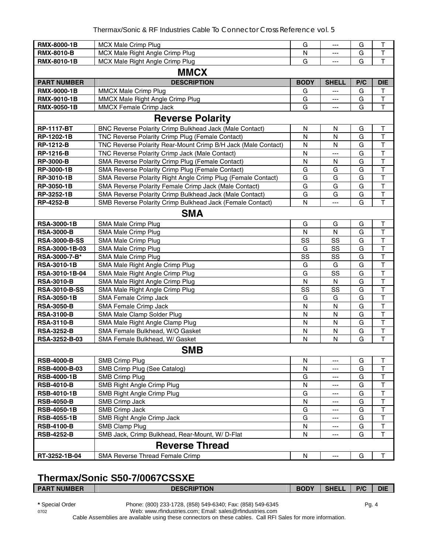| <b>RMX-8000-1B</b>   | MCX Male Crimp Plug                                           | G            | ---          | G   | $\top$                  |  |  |  |
|----------------------|---------------------------------------------------------------|--------------|--------------|-----|-------------------------|--|--|--|
| <b>RMX-8010-B</b>    | MCX Male Right Angle Crimp Plug                               | N            | ---          | G   | Т                       |  |  |  |
| <b>RMX-8010-1B</b>   | MCX Male Right Angle Crimp Plug                               | G            | ---          | G   | $\mathsf{T}$            |  |  |  |
| <b>MMCX</b>          |                                                               |              |              |     |                         |  |  |  |
| <b>PART NUMBER</b>   | <b>DESCRIPTION</b>                                            | <b>BODY</b>  | <b>SHELL</b> | P/C | <b>DIE</b>              |  |  |  |
| <b>RMX-9000-1B</b>   | MMCX Male Crimp Plug                                          | G            | ---          | G   | T                       |  |  |  |
| <b>RMX-9010-1B</b>   | MMCX Male Right Angle Crimp Plug                              | G            | ---          | G   | $\overline{\mathsf{T}}$ |  |  |  |
| <b>RMX-9050-1B</b>   | MMCX Female Crimp Jack                                        | G            | ---          | G   | $\overline{\mathsf{T}}$ |  |  |  |
|                      | <b>Reverse Polarity</b>                                       |              |              |     |                         |  |  |  |
| <b>RP-1117-BT</b>    | BNC Reverse Polarity Crimp Bulkhead Jack (Male Contact)       | N            | N            | G   | Т                       |  |  |  |
| RP-1202-1B           | TNC Reverse Polarity Crimp Plug (Female Contact)              | $\mathsf{N}$ | $\mathsf{N}$ | G   | $\mathsf{T}$            |  |  |  |
| <b>RP-1212-B</b>     | TNC Reverse Polarity Rear-Mount Crimp B/H Jack (Male Contact) | N            | N            | G   | $\mathsf{T}$            |  |  |  |
| <b>RP-1216-B</b>     | TNC Reverse Polarity Crimp Jack (Male Contact)                | $\mathsf{N}$ | ---          | G   | $\top$                  |  |  |  |
| <b>RP-3000-B</b>     | SMA Reverse Polarity Crimp Plug (Female Contact)              | N            | N            | G   | $\overline{\mathsf{T}}$ |  |  |  |
| RP-3000-1B           | SMA Reverse Polarity Crimp Plug (Female Contact)              | G            | G            | G   | $\overline{\mathsf{T}}$ |  |  |  |
| RP-3010-1B           | SMA Reverse Polarity Right Angle Crimp Plug (Female Contact)  | G            | G            | G   | $\top$                  |  |  |  |
| RP-3050-1B           | SMA Reverse Polarity Female Crimp Jack (Male Contact)         | G            | G            | G   | $\mathsf{T}$            |  |  |  |
| RP-3252-1B           | SMA Reverse Polarity Crimp Bulkhead Jack (Male Contact)       | G            | G            | G   | $\overline{\mathsf{T}}$ |  |  |  |
| <b>RP-4252-B</b>     | SMB Reverse Polarity Crimp Bulkhead Jack (Female Contact)     | N            | ---          | G   | $\mathsf T$             |  |  |  |
|                      | <b>SMA</b>                                                    |              |              |     |                         |  |  |  |
| <b>RSA-3000-1B</b>   | SMA Male Crimp Plug                                           | G            | G            | G   | $\top$                  |  |  |  |
| <b>RSA-3000-B</b>    | SMA Male Crimp Plug                                           | ${\sf N}$    | $\mathsf{N}$ | G   | $\top$                  |  |  |  |
| <b>RSA-3000-B-SS</b> | SMA Male Crimp Plug                                           | SS           | SS           | G   | $\mathsf T$             |  |  |  |
| RSA-3000-1B-03       | SMA Male Crimp Plug                                           | G            | SS           | G   | $\overline{\mathsf{T}}$ |  |  |  |
| RSA-3000-7-B*        | SMA Male Crimp Plug                                           | SS           | SS           | G   | $\top$                  |  |  |  |
| <b>RSA-3010-1B</b>   | SMA Male Right Angle Crimp Plug                               | G            | G            | G   | $\top$                  |  |  |  |
| RSA-3010-1B-04       | SMA Male Right Angle Crimp Plug                               | G            | SS           | G   | $\mathsf T$             |  |  |  |
| <b>RSA-3010-B</b>    | SMA Male Right Angle Crimp Plug                               | N            | $\mathsf{N}$ | G   | $\mathsf{T}$            |  |  |  |
| <b>RSA-3010-B-SS</b> | SMA Male Right Angle Crimp Plug                               | SS           | SS           | G   | $\top$                  |  |  |  |
| <b>RSA-3050-1B</b>   | SMA Female Crimp Jack                                         | G            | G            | G   | $\top$                  |  |  |  |
| <b>RSA-3050-B</b>    | SMA Female Crimp Jack                                         | $\mathsf{N}$ | ${\sf N}$    | G   | $\overline{\mathsf{T}}$ |  |  |  |
| <b>RSA-3100-B</b>    | SMA Male Clamp Solder Plug                                    | N            | N            | G   | $\top$                  |  |  |  |
| <b>RSA-3110-B</b>    | SMA Male Right Angle Clamp Plug                               | $\mathsf{N}$ | N            | G   | $\top$                  |  |  |  |
| <b>RSA-3252-B</b>    | SMA Female Bulkhead, W/O Gasket                               | N            | N            | G   | $\overline{\mathsf{T}}$ |  |  |  |
| RSA-3252-B-03        | SMA Female Bulkhead, W/ Gasket                                | N            | N            | G   | T                       |  |  |  |
|                      | <b>SMB</b>                                                    |              |              |     |                         |  |  |  |
| <b>RSB-4000-B</b>    | <b>SMB Crimp Plug</b>                                         | N            | ---          | G   | Τ                       |  |  |  |
| RSB-4000-B-03        | SMB Crimp Plug (See Catalog)                                  | N            |              | G   | T                       |  |  |  |
| <b>RSB-4000-1B</b>   | <b>SMB Crimp Plug</b>                                         | G            |              | G   | T                       |  |  |  |
| <b>RSB-4010-B</b>    | SMB Right Angle Crimp Plug                                    | N            |              | G   | T                       |  |  |  |
| <b>RSB-4010-1B</b>   | SMB Right Angle Crimp Plug                                    | G            |              | G   | T                       |  |  |  |
| <b>RSB-4050-B</b>    | SMB Crimp Jack                                                | N            | ---          | G   | $\overline{\mathsf{T}}$ |  |  |  |
| <b>RSB-4050-1B</b>   | SMB Crimp Jack                                                | G            | ---          | G   | T                       |  |  |  |
| <b>RSB-4055-1B</b>   | SMB Right Angle Crimp Jack                                    | G            | ---          | G   | $\mathsf T$             |  |  |  |
| <b>RSB-4100-B</b>    | SMB Clamp Plug                                                | N            | ---          | G   | $\top$                  |  |  |  |
| <b>RSB-4252-B</b>    | SMB Jack, Crimp Bulkhead, Rear-Mount, W/ D-Flat               | N            | ---          | G   | T                       |  |  |  |
|                      | <b>Reverse Thread</b>                                         |              |              |     |                         |  |  |  |
| RT-3252-1B-04        | SMA Reverse Thread Female Crimp                               | ${\sf N}$    | $---$        | G   | $\mathsf T$             |  |  |  |

# **Thermax/Sonic S50-7/0067CSSXE**

| I PART NUMBER I | <b>DESCRIPTION</b>                                         | <b>BODY</b> | <b>SHELL</b> | P/C | <b>DIE</b> |
|-----------------|------------------------------------------------------------|-------------|--------------|-----|------------|
|                 |                                                            |             |              |     |            |
| * Special Order | Phone: (800) 233-1728, (858) 549-6340; Fax: (858) 549-6345 |             |              | Pa. |            |

0702 Web: www.rfindustries.com; Email: sales@rfindustries.com Cable Assemblies are available using these connectors on these cables. Call RFI Sales for more information.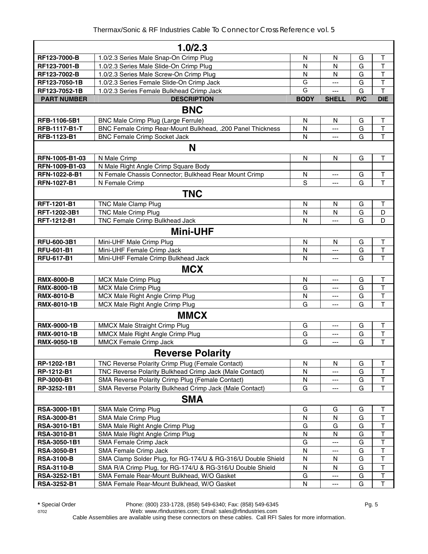|                     | 1.0/2.3                                                      |                         |              |     |                         |
|---------------------|--------------------------------------------------------------|-------------------------|--------------|-----|-------------------------|
| RF123-7000-B        | 1.0/2.3 Series Male Snap-On Crimp Plug                       | N                       | N            | G   | Т                       |
| RF123-7001-B        | 1.0/2.3 Series Male Slide-On Crimp Plug                      | $\mathsf{N}$            | $\mathsf{N}$ | G   | T                       |
| RF123-7002-B        | 1.0/2.3 Series Male Screw-On Crimp Plug                      | $\mathsf{N}$            | $\mathsf{N}$ | G   | $\overline{\mathsf{T}}$ |
| RF123-7050-1B       | 1.0/2.3 Series Female Slide-On Crimp Jack                    | G                       | ---          | G   | $\overline{\mathsf{T}}$ |
| RF123-7052-1B       | 1.0/2.3 Series Female Bulkhead Crimp Jack                    | G                       | $---$        | G   | $\overline{\mathsf{T}}$ |
| <b>PART NUMBER</b>  | <b>DESCRIPTION</b>                                           | <b>BODY</b>             | <b>SHELL</b> | P/C | <b>DIE</b>              |
|                     | <b>BNC</b>                                                   |                         |              |     |                         |
| RFB-1106-5B1        | BNC Male Crimp Plug (Large Ferrule)                          | $\mathsf{N}$            | $\mathsf{N}$ | G   | $\mathsf T$             |
| RFB-1117-B1-T       | BNC Female Crimp Rear-Mount Bulkhead, .200 Panel Thickness   | N                       | ---          | G   | $\overline{\mathsf{T}}$ |
| RFB-1123-B1         | <b>BNC Female Crimp Socket Jack</b>                          | N                       | ---          | G   | $\overline{\mathsf{T}}$ |
|                     | N                                                            |                         |              |     |                         |
| RFN-1005-B1-03      | N Male Crimp                                                 | $\mathsf{N}$            | $\mathsf{N}$ | G   | $\mathsf T$             |
| RFN-1009-B1-03      | N Male Right Angle Crimp Square Body                         |                         |              |     |                         |
| RFN-1022-8-B1       | N Female Chassis Connector; Bulkhead Rear Mount Crimp        | N                       |              | G   | T                       |
| RFN-1027-B1         | N Female Crimp                                               | $\overline{s}$          | ---<br>$---$ | G   | T                       |
|                     |                                                              |                         |              |     |                         |
|                     | <b>TNC</b>                                                   |                         |              |     |                         |
| RFT-1201-B1         | <b>TNC Male Clamp Plug</b>                                   | $\mathsf{N}$            | $\mathsf{N}$ | G   | Т                       |
| RFT-1202-3B1        | <b>TNC Male Crimp Plug</b>                                   | N                       | N            | G   | D                       |
| RFT-1212-B1         | TNC Female Crimp Bulkhead Jack                               | N                       | ---          | G   | D                       |
|                     | <b>Mini-UHF</b>                                              |                         |              |     |                         |
| RFU-600-3B1         | Mini-UHF Male Crimp Plug                                     | N                       | N            | G   | Τ                       |
| <b>RFU-601-B1</b>   | Mini-UHF Female Crimp Jack                                   | N                       | ---          | G   | $\overline{\mathsf{T}}$ |
| <b>RFU-617-B1</b>   | Mini-UHF Female Crimp Bulkhead Jack                          | N                       | $---$        | G   | $\overline{\mathsf{T}}$ |
|                     | <b>MCX</b>                                                   |                         |              |     |                         |
| <b>RMX-8000-B</b>   | MCX Male Crimp Plug                                          | N                       | ---          | G   | Τ                       |
| <b>RMX-8000-1B</b>  | <b>MCX Male Crimp Plug</b>                                   | G                       | ---          | G   | $\overline{\mathsf{T}}$ |
| <b>RMX-8010-B</b>   | MCX Male Right Angle Crimp Plug                              | $\overline{\mathsf{N}}$ | $---$        | G   | $\overline{\mathsf{T}}$ |
| RMX-8010-1B         | MCX Male Right Angle Crimp Plug                              | G                       | ---          | G   | $\overline{\mathsf{T}}$ |
|                     | <b>MMCX</b>                                                  |                         |              |     |                         |
| <b>RMX-9000-1B</b>  | MMCX Male Straight Crimp Plug                                | G                       | $---$        | G   | $\mathsf T$             |
| RMX-9010-1B         | MMCX Male Right Angle Crimp Plug                             | G                       | $---$        | G   | $\overline{\mathsf{T}}$ |
| <b>RMX-9050-1B</b>  | MMCX Female Crimp Jack                                       | G                       | ---          | G   | T                       |
|                     | <b>Reverse Polarity</b>                                      |                         |              |     |                         |
| RP-1202-1B1         | TNC Reverse Polarity Crimp Plug (Female Contact)             | N                       | N            | G   | $\sf T$                 |
| RP-1212-B1          | TNC Reverse Polarity Bulkhead Crimp Jack (Male Contact)      | N                       |              | G   | $\mathsf T$             |
| RP-3000-B1          | SMA Reverse Polarity Crimp Plug (Female Contact)             | N                       | ---          | G   | $\sf T$                 |
| RP-3252-1B1         | SMA Reverse Polarity Bulkhead Crimp Jack (Male Contact)      | G                       |              | G   | $\mathsf T$             |
|                     | <b>SMA</b>                                                   |                         |              |     |                         |
| RSA-3000-1B1        | SMA Male Crimp Plug                                          | G                       | G            | G   | $\sf T$                 |
| <b>RSA-3000-B1</b>  | SMA Male Crimp Plug                                          | N                       | N            | G   | $\mathsf T$             |
| RSA-3010-1B1        | SMA Male Right Angle Crimp Plug                              | G                       | G            | G   | $\overline{\mathsf{T}}$ |
| <b>RSA-3010-B1</b>  | SMA Male Right Angle Crimp Plug                              | $\mathsf{N}$            | N            | G   | $\overline{\mathsf{T}}$ |
| <b>RSA-3050-1B1</b> | SMA Female Crimp Jack                                        | G                       |              | G   | $\sf T$                 |
| <b>RSA-3050-B1</b>  | SMA Female Crimp Jack                                        | $\mathsf{N}$            | ---          | G   | $\mathsf T$             |
| <b>RSA-3100-B</b>   | SMA Clamp Solder Plug, for RG-174/U & RG-316/U Double Shield | N                       | N            | G   | $\top$                  |
| <b>RSA-3110-B</b>   | SMA R/A Crimp Plug, for RG-174/U & RG-316/U Double Shield    | N                       | N            | G   | $\sf T$                 |
| RSA-3252-1B1        | SMA Female Rear-Mount Bulkhead, W/O Gasket                   | G                       | ---          | G   | $\sf T$                 |
| <b>RSA-3252-B1</b>  | SMA Female Rear-Mount Bulkhead, W/O Gasket                   | ${\sf N}$               | ---          | G   | $\mathsf T$             |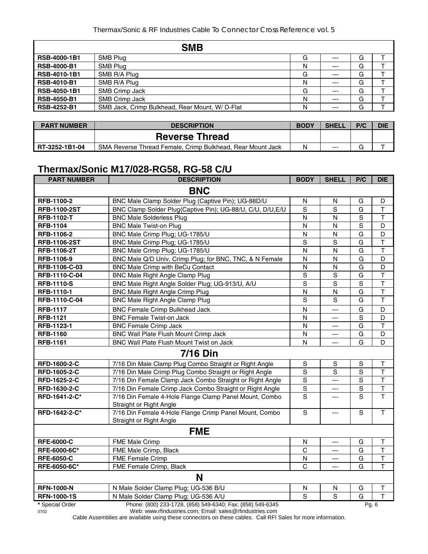|                     | <b>SMB</b>                                     |   |       |   |  |
|---------------------|------------------------------------------------|---|-------|---|--|
| RSB-4000-1B1        | SMB Plug                                       | G | $---$ | G |  |
| <b>RSB-4000-B1</b>  | SMB Plug                                       | N | $---$ | G |  |
| RSB-4010-1B1        | SMB R/A Plug                                   | G | $---$ | G |  |
| <b>RSB-4010-B1</b>  | SMB R/A Plug                                   | N | $---$ | G |  |
| <b>RSB-4050-1B1</b> | SMB Crimp Jack                                 | G | $---$ | G |  |
| <b>RSB-4050-B1</b>  | SMB Crimp Jack                                 | N | $---$ | G |  |
| <b>RSB-4252-B1</b>  | SMB Jack, Crimp Bulkhead, Rear Mount, W/D-Flat | N | $---$ | G |  |

| <b>PART NUMBER</b> | <b>DESCRIPTION</b>                                         | <b>BODY</b> | <b>SHELL</b> | P/C | <b>DIE</b> |
|--------------------|------------------------------------------------------------|-------------|--------------|-----|------------|
|                    | <b>Reverse Thread</b>                                      |             |              |     |            |
| RT-3252-1B1-04     | SMA Reverse Thread Female, Crimp Bulkhead, Rear Mount Jack | Ν           | $---$        | J   |            |

# **Thermax/Sonic M17/028-RG58, RG-58 C/U**

| <b>PART NUMBER</b>  | <b>DESCRIPTION</b>                                                                                           | <b>BODY</b>             | <b>SHELL</b>   | P/C            | <b>DIE</b>              |
|---------------------|--------------------------------------------------------------------------------------------------------------|-------------------------|----------------|----------------|-------------------------|
|                     | <b>BNC</b>                                                                                                   |                         |                |                |                         |
| RFB-1100-2          | BNC Male Clamp Solder Plug (Captive Pin); UG-88D/U                                                           | N                       | N              | G              | D                       |
| <b>RFB-1100-2ST</b> | BNC Clamp Solder Plug(Captive Pin); UG-88/U, C/U, D/U, E/U                                                   | $\mathbf S$             | $\overline{s}$ | G              | $\top$                  |
| <b>RFB-1102-T</b>   | <b>BNC Male Solderless Plug</b>                                                                              | N                       | N              | S              | $\mathsf{T}$            |
| <b>RFB-1104</b>     | <b>BNC Male Twist-on Plug</b>                                                                                | $\mathsf{N}$            | $\mathsf{N}$   | $\mathbf S$    | D                       |
| RFB-1106-2          | BNC Male Crimp Plug; UG-1785/U                                                                               | N                       | N              | G              | D                       |
| <b>RFB-1106-2ST</b> | BNC Male Crimp Plug; UG-1785/U                                                                               | S                       | S              | G              | $\overline{\mathsf{T}}$ |
| RFB-1106-2T         | BNC Male Crimp Plug; UG-1785/U                                                                               | $\mathsf{N}$            | N              | G              | $\mathsf{T}$            |
| RFB-1106-9          | BNC Male Q/D Univ. Crimp Plug; for BNC, TNC, & N Female                                                      | N                       | N              | G              | D                       |
| RFB-1106-C-03       | BNC Male Crimp with BeCu Contact                                                                             | $\mathsf{N}$            | $\mathsf{N}$   | G              | D                       |
| RFB-1110-C-04       | <b>BNC Male Right Angle Clamp Plug</b>                                                                       | S                       | $\overline{s}$ | G              | $\overline{\mathsf{T}}$ |
| <b>RFB-1110-S</b>   | BNC Male Right Angle Solder Plug; UG-913/U, A/U                                                              | S                       | S              | $\mathbf S$    | $\mathsf{T}$            |
| RFB-1110-1          | <b>BNC Male Right Angle Crimp Plug</b>                                                                       | ${\sf N}$               | N              | G              | $\top$                  |
| RFB-1110-C-04       | <b>BNC Male Right Angle Clamp Plug</b>                                                                       | S                       | S              | G              | $\mathsf T$             |
| <b>RFB-1117</b>     | <b>BNC Female Crimp Bulkhead Jack</b>                                                                        | N                       | ---            | G              | D                       |
| <b>RFB-1121</b>     | <b>BNC Female Twist-on Jack</b>                                                                              | $\overline{\mathsf{N}}$ | $---$          | S              | D                       |
| RFB-1123-1          | <b>BNC Female Crimp Jack</b>                                                                                 | N                       | ---            | G              | $\mathsf{T}$            |
| <b>RFB-1160</b>     | BNC Wall Plate Flush Mount Crimp Jack                                                                        | N                       | ---            | G              | D                       |
| <b>RFB-1161</b>     | BNC Wall Plate Flush Mount Twist on Jack                                                                     | N                       | $---$          | G              | D                       |
|                     | <b>7/16 Din</b>                                                                                              |                         |                |                |                         |
| RFD-1600-2-C        | 7/16 Din Male Clamp Plug Combo Straight or Right Angle                                                       | ${\mathbb S}$           | $\mathbb S$    | $\mathbf S$    | $\sf T$                 |
| RFD-1605-2-C        | 7/16 Din Male Crimp Plug Combo Straight or Right Angle                                                       | $\mathbf S$             | S              | S              | $\mathsf T$             |
| RFD-1625-2-C        | 7/16 Din Female Clamp Jack Combo Straight or Right Angle                                                     | S                       | ---            | S              | $\mathsf T$             |
| RFD-1630-2-C        | 7/16 Din Female Crimp Jack Combo Straight or Right Angle                                                     | $\mathbf S$             | ---            | $\overline{s}$ | $\mathsf T$             |
| RFD-1641-2-C*       | 7/16 Din Female 4-Hole Flange Clamp Panel Mount, Combo                                                       | $\overline{s}$          | $\overline{a}$ | $\overline{s}$ | $\overline{\mathsf{T}}$ |
| RFD-1642-2-C*       | Straight or Right Angle<br>7/16 Din Female 4-Hole Flange Crimp Panel Mount, Combo<br>Straight or Right Angle | $\mathsf{s}$            | ---            | $\mathbf S$    | T                       |
|                     | <b>FME</b>                                                                                                   |                         |                |                |                         |
| <b>RFE-6000-C</b>   | FME Male Crimp                                                                                               | N                       | ---            | G              | T                       |
| RFE-6000-6C*        | FME Male Crimp, Black                                                                                        | C                       | ---            | G              | $\mathsf{T}$            |
| <b>RFE-6050-C</b>   | FME Female Crimp                                                                                             | $\mathsf{N}$            | ---            | G              | $\overline{\mathsf{T}}$ |
| RFE-6050-6C*        | FME Female Crimp, Black                                                                                      | $\mathsf{C}$            | $\overline{a}$ | G              | $\mathsf{T}$            |
|                     | N                                                                                                            |                         |                |                |                         |
| <b>RFN-1000-N</b>   | N Male Solder Clamp Plug; UG-536 B/U                                                                         | N                       | N              | G              | T                       |
| <b>RFN-1000-1S</b>  | N Male Solder Clamp Plug; UG-536 A/U                                                                         | S                       | S              | G              | $\overline{\mathsf{T}}$ |
| * Special Order     | Phone: (800) 233-1728, (858) 549-6340; Fax: (858) 549-6345                                                   |                         |                | Pg. 6          |                         |

0702 Web: www.rfindustries.com; Email: sales@rfindustries.com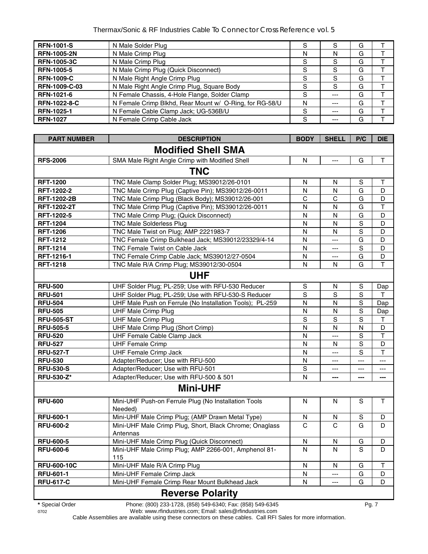| <b>RFN-1001-S</b>   | N Male Solder Plug                                      | S |          | G |  |
|---------------------|---------------------------------------------------------|---|----------|---|--|
| <b>RFN-1005-2N</b>  | N Male Crimp Plug                                       | N | N        | G |  |
| <b>RFN-1005-3C</b>  | N Male Crimp Plug                                       | S | <b>S</b> | G |  |
| <b>RFN-1005-5</b>   | N Male Crimp Plug (Quick Disconnect)                    | S | S        | G |  |
| <b>RFN-1009-C</b>   | N Male Right Angle Crimp Plug                           | S | S        | G |  |
| RFN-1009-C-03       | N Male Right Angle Crimp Plug, Square Body              | S | S        | G |  |
| RFN-1021-6          | N Female Chassis, 4-Hole Flange, Solder Clamp           | S | ---      | G |  |
| <b>RFN-1022-8-C</b> | N Female Crimp Blkhd, Rear Mount w/ O-Ring, for RG-58/U | N | $- - -$  | G |  |
| <b>RFN-1025-1</b>   | N Female Cable Clamp Jack; UG-536B/U                    | S | $- - -$  | G |  |
| <b>RFN-1027</b>     | N Female Crimp Cable Jack                               | S |          | G |  |

| <b>PART NUMBER</b> | <b>DESCRIPTION</b>                                                  | <b>BODY</b>             | <b>SHELL</b>              | P/C                  | <b>DIE</b>             |
|--------------------|---------------------------------------------------------------------|-------------------------|---------------------------|----------------------|------------------------|
|                    | <b>Modified Shell SMA</b>                                           |                         |                           |                      |                        |
| <b>RFS-2006</b>    | SMA Male Right Angle Crimp with Modified Shell                      | N                       | $\scriptstyle \cdots$     | G                    | T.                     |
|                    | <b>TNC</b>                                                          |                         |                           |                      |                        |
| <b>RFT-1200</b>    | TNC Male Clamp Solder Plug; MS39012/26-0101                         | N                       | N                         | S                    | т                      |
| RFT-1202-2         | TNC Male Crimp Plug (Captive Pin); MS39012/26-0011                  | N                       | N                         | G                    | D                      |
| <b>RFT-1202-2B</b> | TNC Male Crimp Plug (Black Body); MS39012/26-001                    | C                       | C                         | G                    | D                      |
| <b>RFT-1202-2T</b> | TNC Male Crimp Plug (Captive Pin); MS39012/26-0011                  | N                       | N                         | G                    | T                      |
| RFT-1202-5         | TNC Male Crimp Plug; (Quick Disconnect)                             | N                       | N                         | G                    | D                      |
| <b>RFT-1204</b>    | <b>TNC Male Solderless Plug</b>                                     | $\overline{\mathsf{N}}$ | N                         | $\overline{S}$       | D                      |
| <b>RFT-1206</b>    | TNC Male Twist on Plug; AMP 2221983-7                               | N                       | N                         | $\mathbf S$          | D                      |
| <b>RFT-1212</b>    | TNC Female Crimp Bulkhead Jack; MS39012/23329/4-14                  | N                       | $\overline{a}$            | G                    | D                      |
| <b>RFT-1214</b>    | TNC Female Twist on Cable Jack                                      | $\overline{\mathsf{N}}$ | $\overline{a}$            | $\mathbf S$          | D                      |
| RFT-1216-1         | TNC Female Crimp Cable Jack; MS39012/27-0504                        | N                       | $---$                     | G                    | D                      |
| <b>RFT-1218</b>    | TNC Male R/A Crimp Plug; MS39012/30-0504                            | N                       | N                         | G                    | T                      |
|                    | <b>UHF</b>                                                          |                         |                           |                      |                        |
| <b>RFU-500</b>     | UHF Solder Plug; PL-259; Use with RFU-530 Reducer                   | S                       | N                         | S                    | Dap                    |
| <b>RFU-501</b>     | UHF Solder Plug; PL-259; Use with RFU-530-S Reducer                 | S                       | $\overline{s}$            | $\mathbf S$          | $\mathsf{T}$           |
| <b>RFU-504</b>     | UHF Male Push on Ferrule (No Installation Tools); PL-259            | N                       | N                         | $\mathbf S$          | Dap                    |
| <b>RFU-505</b>     | <b>UHF Male Crimp Plug</b>                                          | $\overline{\mathsf{N}}$ | N                         | $\mathbf S$          | Dap                    |
| <b>RFU-505-ST</b>  | <b>UHF Male Crimp Plug</b>                                          | $\mathbf S$             | $\mathsf S$               | $\mathbf S$          | $\mathsf T$            |
| <b>RFU-505-5</b>   | UHF Male Crimp Plug (Short Crimp)                                   | N                       | N                         | N                    | D                      |
| <b>RFU-520</b>     | UHF Female Cable Clamp Jack                                         | $\overline{\mathsf{N}}$ | $\overline{a}$            | $\mathbf S$          | $\top$                 |
| <b>RFU-527</b>     | <b>UHF Female Crimp</b>                                             | N                       | N                         | $\mathbf S$          | D                      |
| <b>RFU-527-T</b>   | <b>UHF Female Crimp Jack</b>                                        | N                       | $\overline{a}$            | S                    | $\mathsf T$            |
| <b>RFU-530</b>     | Adapter/Reducer; Use with RFU-500                                   | N                       | $\qquad \qquad -\qquad -$ | $\scriptstyle\cdots$ | $\qquad \qquad \cdots$ |
| <b>RFU-530-S</b>   | Adapter/Reducer; Use with RFU-501                                   | S                       | $---$                     | $\cdots$             | $\qquad \qquad -$      |
| RFU-530-Z*         | Adapter/Reducer; Use with RFU-500 & 501                             | N                       | $\overline{a}$            | ---                  | ---                    |
|                    | <b>Mini-UHF</b>                                                     |                         |                           |                      |                        |
| <b>RFU-600</b>     | Mini-UHF Push-on Ferrule Plug (No Installation Tools<br>Needed)     | N                       | N                         | S                    | $\mathsf{T}$           |
| <b>RFU-600-1</b>   | Mini-UHF Male Crimp Plug; (AMP Drawn Metal Type)                    | N                       | N                         | S                    | D                      |
| <b>RFU-600-2</b>   | Mini-UHF Male Crimp Plug, Short, Black Chrome; Onaglass<br>Antennas | $\overline{C}$          | $\overline{C}$            | G                    | D                      |
| <b>RFU-600-5</b>   | Mini-UHF Male Crimp Plug (Quick Disconnect)                         | N                       | N                         | G                    | D                      |
| <b>RFU-600-6</b>   | Mini-UHF Male Crimp Plug; AMP 2266-001, Amphenol 81-<br>115         | N                       | N                         | S                    | D                      |
| <b>RFU-600-10C</b> | Mini-UHF Male R/A Crimp Plug                                        | N                       | N                         | G                    | Т                      |
| <b>RFU-601-1</b>   | Mini-UHF Female Crimp Jack                                          | N                       | $\overline{a}$            | G                    | D                      |
| <b>RFU-617-C</b>   | Mini-UHF Female Crimp Rear Mount Bulkhead Jack                      | N                       | $\scriptstyle \cdots$     | G                    | D                      |
|                    |                                                                     |                         |                           |                      |                        |
|                    | <b>Reverse Polarity</b>                                             |                         |                           |                      |                        |

**\*** Special Order Phone: (800) 233-1728, (858) 549-6340; Fax: (858) 549-6345 Pg. 7

0702 Web: www.rfindustries.com; Email: sales@rfindustries.com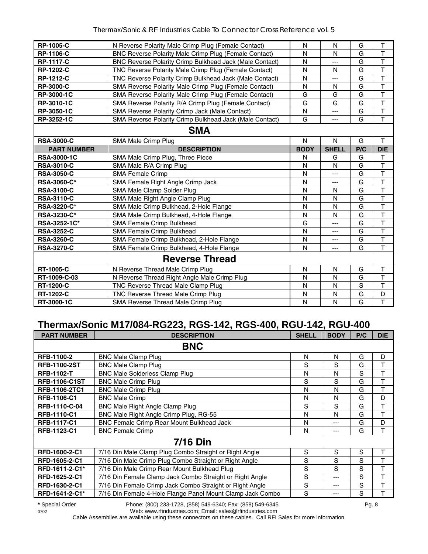| <b>RP-1005-C</b>   | N Reverse Polarity Male Crimp Plug (Female Contact)          | N            | N            | G   | T                       |  |  |  |
|--------------------|--------------------------------------------------------------|--------------|--------------|-----|-------------------------|--|--|--|
| <b>RP-1106-C</b>   | <b>BNC Reverse Polarity Male Crimp Plug (Female Contact)</b> | N            | N            | G   | $\top$                  |  |  |  |
| <b>RP-1117-C</b>   | BNC Reverse Polarity Crimp Bulkhead Jack (Male Contact)      | N            | ---          | G   | $\overline{\mathsf{T}}$ |  |  |  |
| <b>RP-1202-C</b>   | TNC Reverse Polarity Male Crimp Plug (Female Contact)        | N            | N            | G   | $\overline{\mathsf{T}}$ |  |  |  |
| <b>RP-1212-C</b>   | TNC Reverse Polarity Crimp Bulkhead Jack (Male Contact)      | N            | ---          | G   | T                       |  |  |  |
| <b>RP-3000-C</b>   | SMA Reverse Polarity Male Crimp Plug (Female Contact)        | N            | N            | G   | $\mathsf{T}$            |  |  |  |
| <b>RP-3000-1C</b>  | SMA Reverse Polarity Male Crimp Plug (Female Contact)        | G            | G            | G   | $\overline{\mathsf{T}}$ |  |  |  |
| RP-3010-1C         | SMA Reverse Polarity R/A Crimp Plug (Female Contact)         | G            | G            | G   | $\overline{\mathsf{T}}$ |  |  |  |
| RP-3050-1C         | SMA Reverse Polarity Crimp Jack (Male Contact)               | N            | ---          | G   | $\mathsf T$             |  |  |  |
| RP-3252-1C         | SMA Reverse Polarity Crimp Bulkhead Jack (Male Contact)      | G            | ---          | G   | $\overline{\mathsf{T}}$ |  |  |  |
| <b>SMA</b>         |                                                              |              |              |     |                         |  |  |  |
| <b>RSA-3000-C</b>  | SMA Male Crimp Plug                                          | $\mathsf{N}$ | N            | G   | $\mathsf T$             |  |  |  |
| <b>PART NUMBER</b> | <b>DESCRIPTION</b>                                           | <b>BODY</b>  | <b>SHELL</b> | P/C | <b>DIE</b>              |  |  |  |
| <b>RSA-3000-1C</b> | SMA Male Crimp Plug, Three Piece                             | N            | G            | G   | $\mathsf{T}$            |  |  |  |
| <b>RSA-3010-C</b>  | SMA Male R/A Crimp Plug                                      | N            | N            | G   | $\overline{\mathsf{T}}$ |  |  |  |
| <b>RSA-3050-C</b>  | <b>SMA Female Crimp</b>                                      | N            | ---          | G   | $\mathsf{T}$            |  |  |  |
| <b>RSA-3060-C*</b> | SMA Female Right Angle Crimp Jack                            | N            | ---          | G   | T                       |  |  |  |
| <b>RSA-3100-C</b>  | SMA Male Clamp Solder Plug                                   | N            | N            | G   | $\mathsf{T}$            |  |  |  |
| <b>RSA-3110-C</b>  | SMA Male Right Angle Clamp Plug                              | N            | N            | G   | $\overline{\mathsf{T}}$ |  |  |  |
| <b>RSA-3220-C*</b> | SMA Male Crimp Bulkhead, 2-Hole Flange                       | N            | N            | G   | $\overline{\mathsf{T}}$ |  |  |  |
| RSA-3230-C*        | SMA Male Crimp Bulkhead, 4-Hole Flange                       | N            | N            | G   | $\mathsf T$             |  |  |  |
| RSA-3252-1C*       | SMA Female Crimp Bulkhead                                    | G            | ---          | G   | $\overline{1}$          |  |  |  |
| <b>RSA-3252-C</b>  | SMA Female Crimp Bulkhead                                    | N            | ---          | G   | T                       |  |  |  |
| <b>RSA-3260-C</b>  | SMA Female Crimp Bulkhead, 2-Hole Flange                     | N            | ---          | G   | T                       |  |  |  |
| <b>RSA-3270-C</b>  | SMA Female Crimp Bulkhead, 4-Hole Flange                     | N            | ---          | G   | T                       |  |  |  |
|                    | <b>Reverse Thread</b>                                        |              |              |     |                         |  |  |  |
| <b>RT-1005-C</b>   | N Reverse Thread Male Crimp Plug                             | N            | N            | G   | $\mathsf T$             |  |  |  |
| RT-1009-C-03       | N Reverse Thread Right Angle Male Crimp Plug                 | N            | N            | G   | T                       |  |  |  |
| <b>RT-1200-C</b>   | TNC Reverse Thread Male Clamp Plug                           | N            | N            | S   | $\overline{1}$          |  |  |  |
| <b>RT-1202-C</b>   | TNC Reverse Thread Male Crimp Plug                           | N            | N            | G   | D                       |  |  |  |
| RT-3000-1C         | SMA Reverse Thread Male Crimp Plug                           | N            | N            | G   | $\overline{1}$          |  |  |  |

# **Thermax/Sonic M17/084-RG223, RGS-142, RGS-400, RGU-142, RGU-400**

| <b>PART NUMBER</b>   | <b>DESCRIPTION</b>                                         | <b>SHELL</b> | <b>BODY</b> | P/C | <b>DIE</b> |  |  |  |  |
|----------------------|------------------------------------------------------------|--------------|-------------|-----|------------|--|--|--|--|
| <b>BNC</b>           |                                                            |              |             |     |            |  |  |  |  |
| <b>RFB-1100-2</b>    | <b>BNC Male Clamp Plug</b>                                 | N            | N           | G   | D          |  |  |  |  |
| <b>RFB-1100-2ST</b>  | <b>BNC Male Clamp Plug</b>                                 | S            | S           | G   | т          |  |  |  |  |
| <b>RFB-1102-T</b>    | <b>BNC Male Solderless Clamp Plug</b>                      | N            | N           | S   | т          |  |  |  |  |
| <b>RFB-1106-C1ST</b> | <b>BNC Male Crimp Plug</b>                                 | S            | S           | G   | т          |  |  |  |  |
| RFB-1106-2TC1        | <b>BNC Male Crimp Plug</b>                                 | N            | N           | G   | т          |  |  |  |  |
| RFB-1106-C1          | <b>BNC Male Crimp</b>                                      | N            | N           | G   | D          |  |  |  |  |
| RFB-1110-C-04        | <b>BNC Male Right Angle Clamp Plug</b>                     | S            | S           | G   | Т          |  |  |  |  |
| <b>RFB-1110-C1</b>   | BNC Male Right Angle Crimp Plug, RG-55                     | N            | N           | G   | Т          |  |  |  |  |
| <b>RFB-1117-C1</b>   | <b>BNC Female Crimp Rear Mount Bulkhead Jack</b>           | N            | $- - -$     | G   | D          |  |  |  |  |
| RFB-1123-C1          | <b>BNC Female Crimp</b>                                    | N            | ---         | G   | т          |  |  |  |  |
|                      | <b>7/16 Din</b>                                            |              |             |     |            |  |  |  |  |
| RFD-1600-2-C1        | 7/16 Din Male Clamp Plug Combo Straight or Right Angle     | S            | S           | S   | т          |  |  |  |  |
| RFD-1605-2-C1        | 7/16 Din Male Crimp Plug Combo Straight or Right Angle     | S            | S           | S   | т          |  |  |  |  |
| RFD-1611-2-C1*       | 7/16 Din Male Crimp Rear Mount Bulkhead Plug               | S            | S           | S   | т          |  |  |  |  |
| RFD-1625-2-C1        | 7/16 Din Female Clamp Jack Combo Straight or Right Angle   | S            | ---         | S   | т          |  |  |  |  |
| RFD-1630-2-C1        | 7/16 Din Female Crimp Jack Combo Straight or Right Angle   | S            | ---         | S   | Т          |  |  |  |  |
| RFD-1641-2-C1*       | 7/16 Din Female 4-Hole Flange Panel Mount Clamp Jack Combo | S            | ---         | S   | т          |  |  |  |  |

**\*** Special Order Phone: (800) 233-1728, (858) 549-6340; Fax: (858) 549-6345 Pg. 8

0702 Web: www.rfindustries.com; Email: sales@rfindustries.com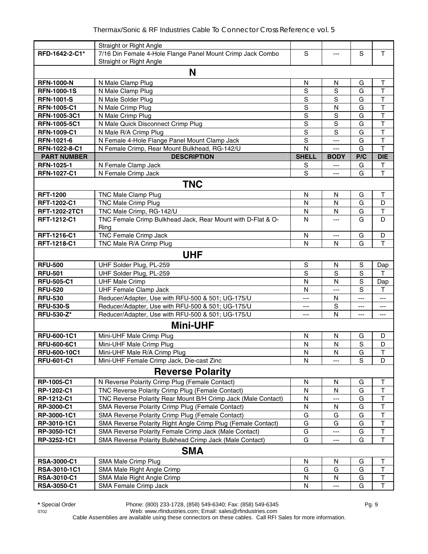|                    | Straight or Right Angle                                       |                |                         |             |                              |
|--------------------|---------------------------------------------------------------|----------------|-------------------------|-------------|------------------------------|
| RFD-1642-2-C1*     | 7/16 Din Female 4-Hole Flange Panel Mount Crimp Jack Combo    | S              |                         | $\mathbf S$ | T.                           |
|                    | Straight or Right Angle                                       |                |                         |             |                              |
|                    | N                                                             |                |                         |             |                              |
| <b>RFN-1000-N</b>  | N Male Clamp Plug                                             | $\mathsf{N}$   | N                       | G           | $\top$                       |
| <b>RFN-1000-1S</b> | N Male Clamp Plug                                             | S              | S                       | G           | $\top$                       |
| <b>RFN-1001-S</b>  | N Male Solder Plug                                            | S              | S                       | G           | $\mathsf T$                  |
| <b>RFN-1005-C1</b> | N Male Crimp Plug                                             | S              | N                       | G           | $\top$                       |
| RFN-1005-3C1       | N Male Crimp Plug                                             | S              | S                       | G           | $\overline{\mathsf{T}}$      |
| RFN-1005-5C1       | N Male Quick Disconnect Crimp Plug                            | S              | S                       | G           | T                            |
| <b>RFN-1009-C1</b> | N Male R/A Crimp Plug                                         | S              | S                       | G           | $\top$                       |
| RFN-1021-6         | N Female 4-Hole Flange Panel Mount Clamp Jack                 | $\mathsf S$    | ---                     | G           | $\mathsf T$                  |
| RFN-1022-8-C1      | N Female Crimp, Rear Mount Bulkhead, RG-142/U                 | N              | ---                     | G           | T                            |
| <b>PART NUMBER</b> | <b>DESCRIPTION</b>                                            | <b>SHELL</b>   | <b>BODY</b>             | P/C         | <b>DIE</b>                   |
| RFN-1025-1         | N Female Clamp Jack                                           | S              | $\qquad \qquad -$       | G           | T                            |
| RFN-1027-C1        | N Female Crimp Jack                                           | S              | $---$                   | G           | $\mathsf T$                  |
|                    | <b>TNC</b>                                                    |                |                         |             |                              |
| <b>RFT-1200</b>    | <b>TNC Male Clamp Plug</b>                                    | N              | N                       | G           | Т                            |
| RFT-1202-C1        | <b>TNC Male Crimp Plug</b>                                    | N              | N                       | G           | D                            |
| RFT-1202-2TC1      | TNC Male Crimp, RG-142/U                                      | N              | $\mathsf{N}$            | G           | $\sf T$                      |
| RFT-1212-C1        | TNC Female Crimp Bulkhead Jack, Rear Mount with D-Flat & O-   | N              |                         | G           | D                            |
|                    | Ring                                                          |                |                         |             |                              |
| RFT-1216-C1        | TNC Female Crimp Jack                                         | N              | ---                     | G           | D                            |
| RFT-1218-C1        | TNC Male R/A Crimp Plug                                       | N              | N                       | G           | T                            |
|                    | <b>UHF</b>                                                    |                |                         |             |                              |
|                    |                                                               |                |                         |             |                              |
| <b>RFU-500</b>     | UHF Solder Plug, PL-259                                       | S              | N                       | S           | Dap                          |
| <b>RFU-501</b>     | UHF Solder Plug, PL-259                                       | S              | S                       | S           | т                            |
| <b>RFU-505-C1</b>  | <b>UHF Male Crimp</b>                                         | N              | N                       | S           | Dap                          |
| <b>RFU-520</b>     | <b>UHF Female Clamp Jack</b>                                  | N              | ---                     | S           | т                            |
| <b>RFU-530</b>     | Reducer/Adapter, Use with RFU-500 & 501; UG-175/U             | ---            | N                       | ---         | ---                          |
| <b>RFU-530-S</b>   | Reducer/Adapter, Use with RFU-500 & 501; UG-175/U             | ---            | $\mathbf S$             | ---         | ---                          |
| <b>RFU-530-Z*</b>  | Reducer/Adapter, Use with RFU-500 & 501; UG-175/U             | ---            | N                       | ---         | ---                          |
|                    | <b>Mini-UHF</b>                                               |                |                         |             |                              |
| RFU-600-1C1        | Mini-UHF Male Crimp Plug                                      | N              | N                       | G           | D                            |
| <b>RFU-600-6C1</b> | Mini-UHF Male Crimp Plug                                      | N              | $\mathsf{N}$            | $\mathbf S$ | D                            |
| RFU-600-10C1       | Mini-UHF Male R/A Crimp Plug                                  | $\overline{N}$ | $\overline{\mathsf{N}}$ | G           | $\overline{\mathsf{T}}$      |
| <b>RFU-601-C1</b>  | Mini-UHF Female Crimp Jack, Die-cast Zinc                     | $\mathsf{N}$   | ---                     | S           | D                            |
|                    | <b>Reverse Polarity</b>                                       |                |                         |             |                              |
| RP-1005-C1         | N Reverse Polarity Crimp Plug (Female Contact)                | N              | N                       | G           | Т                            |
| RP-1202-C1         | TNC Reverse Polarity Crimp Plug (Female Contact)              | N              | N                       | G           | $\mathsf T$                  |
| RP-1212-C1         | TNC Reverse Polarity Rear Mount B/H Crimp Jack (Male Contact) | ${\sf N}$      | ---                     | G           | $\overline{\mathsf{T}}$      |
| RP-3000-C1         | SMA Reverse Polarity Crimp Plug (Female Contact)              | ${\sf N}$      | N                       | G           | $\overline{\mathsf{T}}$      |
| RP-3000-1C1        | SMA Reverse Polarity Crimp Plug (Female Contact)              | G              | G                       | G           | T                            |
| RP-3010-1C1        | SMA Reverse Polarity Right Angle Crimp Plug (Female Contact)  | G              | G                       | G           | $\overline{\mathsf{T}}$      |
| RP-3050-1C1        | SMA Reverse Polarity Female Crimp Jack (Male Contact)         | G              | ---                     | G           | $\overline{\mathsf{T}}$      |
| RP-3252-1C1        | SMA Reverse Polarity Bulkhead Crimp Jack (Male Contact)       | G              | ---                     | G           | T                            |
|                    | <b>SMA</b>                                                    |                |                         |             |                              |
|                    |                                                               |                |                         |             |                              |
| RSA-3000-C1        | SMA Male Crimp Plug                                           | N<br>G         | N                       | G<br>G      | Τ<br>$\overline{\mathsf{T}}$ |
| RSA-3010-1C1       | SMA Male Right Angle Crimp                                    |                | G                       |             |                              |
| RSA-3010-C1        | SMA Male Right Angle Crimp                                    | $\mathsf{N}$   | N                       | G           | $\top$                       |
| <b>RSA-3050-C1</b> | SMA Female Crimp Jack                                         | N              |                         | G           | Τ                            |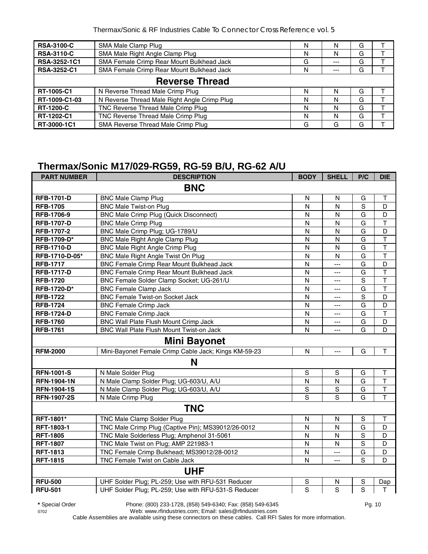| <b>RSA-3100-C</b>  | SMA Male Clamp Plug                          | N |       | G |  |  |  |  |  |
|--------------------|----------------------------------------------|---|-------|---|--|--|--|--|--|
| <b>RSA-3110-C</b>  | SMA Male Right Angle Clamp Plug              | N | N     | G |  |  |  |  |  |
| RSA-3252-1C1       | SMA Female Crimp Rear Mount Bulkhead Jack    | G | ---   | G |  |  |  |  |  |
| <b>RSA-3252-C1</b> | SMA Female Crimp Rear Mount Bulkhead Jack    | N | $---$ | G |  |  |  |  |  |
|                    | <b>Reverse Thread</b>                        |   |       |   |  |  |  |  |  |
| RT-1005-C1         | N Reverse Thread Male Crimp Plug             | N |       | G |  |  |  |  |  |
| RT-1009-C1-03      | N Reverse Thread Male Right Angle Crimp Plug | N | N     | G |  |  |  |  |  |
| <b>RT-1200-C</b>   | TNC Reverse Thread Male Crimp Plug           | N |       | G |  |  |  |  |  |
| RT-1202-C1         | TNC Reverse Thread Male Crimp Plug           | N | N     | G |  |  |  |  |  |
| RT-3000-1C1        | SMA Reverse Thread Male Crimp Plug           | G | G     | G |  |  |  |  |  |

#### **Thermax/Sonic M17/029-RG59, RG-59 B/U, RG-62 A/U**

| <b>PART NUMBER</b> | <b>DESCRIPTION</b>                                   | <b>BODY</b>    | <b>SHELL</b>   | P/C            | <b>DIE</b>              |  |  |  |  |
|--------------------|------------------------------------------------------|----------------|----------------|----------------|-------------------------|--|--|--|--|
| <b>BNC</b>         |                                                      |                |                |                |                         |  |  |  |  |
| <b>RFB-1701-D</b>  | <b>BNC Male Clamp Plug</b>                           | N              | N              | G              | Т                       |  |  |  |  |
| <b>RFB-1705</b>    | <b>BNC Male Twist-on Plug</b>                        | N              | N              | S              | D                       |  |  |  |  |
| RFB-1706-9         | <b>BNC Male Crimp Plug (Quick Disconnect)</b>        | N              | $\mathsf{N}$   | G              | D                       |  |  |  |  |
| <b>RFB-1707-D</b>  | <b>BNC Male Crimp Plug</b>                           | N              | N              | G              | $\top$                  |  |  |  |  |
| RFB-1707-2         | BNC Male Crimp Plug; UG-1789/U                       | N              | N              | G              | D                       |  |  |  |  |
| RFB-1709-D*        | <b>BNC Male Right Angle Clamp Plug</b>               | N              | N              | G              | T                       |  |  |  |  |
| <b>RFB-1710-D</b>  | <b>BNC Male Right Angle Crimp Plug</b>               | N              | N              | G              | T                       |  |  |  |  |
| RFB-1710-D-05*     | BNC Male Right Angle Twist On Plug                   | N              | N              | G              | $\overline{\mathsf{T}}$ |  |  |  |  |
| <b>RFB-1717</b>    | <b>BNC Female Crimp Rear Mount Bulkhead Jack</b>     | N              | $\overline{a}$ | G              | D                       |  |  |  |  |
| <b>RFB-1717-D</b>  | BNC Female Crimp Rear Mount Bulkhead Jack            | N              | ---            | G              | $\overline{\mathsf{T}}$ |  |  |  |  |
| <b>RFB-1720</b>    | BNC Female Solder Clamp Socket; UG-261/U             | N              | $---$          | $\overline{s}$ | $\overline{\mathsf{T}}$ |  |  |  |  |
| RFB-1720-D*        | <b>BNC Female Clamp Jack</b>                         | $\mathsf{N}$   | ---            | G              | T                       |  |  |  |  |
| <b>RFB-1722</b>    | <b>BNC Female Twist-on Socket Jack</b>               | N              | ---            | $\overline{s}$ | D                       |  |  |  |  |
| <b>RFB-1724</b>    | <b>BNC Female Crimp Jack</b>                         | N              | ---            | G              | D                       |  |  |  |  |
| <b>RFB-1724-D</b>  | <b>BNC Female Crimp Jack</b>                         | N              | ---            | G              | $\top$                  |  |  |  |  |
| <b>RFB-1760</b>    | <b>BNC Wall Plate Flush Mount Crimp Jack</b>         | $\mathsf{N}$   | ---            | G              | D                       |  |  |  |  |
| <b>RFB-1761</b>    | BNC Wall Plate Flush Mount Twist-on Jack             | N              | ---            | G              | D                       |  |  |  |  |
|                    | <b>Mini Bayonet</b>                                  |                |                |                |                         |  |  |  |  |
| <b>RFM-2000</b>    | Mini-Bayonet Female Crimp Cable Jack; Kings KM-59-23 | N              | $\overline{a}$ | G              | $\mathsf T$             |  |  |  |  |
|                    | N                                                    |                |                |                |                         |  |  |  |  |
| <b>RFN-1001-S</b>  | N Male Solder Plug                                   | $\mathsf S$    | $\mathbf S$    | G              | T                       |  |  |  |  |
| <b>RFN-1904-1N</b> | N Male Clamp Solder Plug; UG-603/U, A/U              | N              | N              | G              | $\top$                  |  |  |  |  |
| <b>RFN-1904-1S</b> | N Male Clamp Solder Plug; UG-603/U, A/U              | S              | $\mathbf S$    | G              | $\top$                  |  |  |  |  |
| <b>RFN-1907-2S</b> | N Male Crimp Plug                                    | $\overline{s}$ | s              | G              | T                       |  |  |  |  |
|                    | <b>TNC</b>                                           |                |                |                |                         |  |  |  |  |
| RFT-1801*          | TNC Male Clamp Solder Plug                           | $\mathsf{N}$   | $\mathsf{N}$   | $\mathbf S$    | T                       |  |  |  |  |
| RFT-1803-1         | TNC Male Crimp Plug (Captive Pin); MS39012/26-0012   | N              | N              | G              | D                       |  |  |  |  |
| <b>RFT-1805</b>    | TNC Male Solderless Plug; Amphenol 31-5061           | N              | $\mathsf{N}$   | S              | D                       |  |  |  |  |
| <b>RFT-1807</b>    | TNC Male Twist on Plug; AMP 221983-1                 | N              | N              | S              | D                       |  |  |  |  |
| <b>RFT-1813</b>    | TNC Female Crimp Bulkhead; MS39012/28-0012           | $\mathsf{N}$   | $\overline{a}$ | G              | D                       |  |  |  |  |
| <b>RFT-1815</b>    | TNC Female Twist on Cable Jack                       | $\mathsf{N}$   | $---$          | S              | D                       |  |  |  |  |
|                    | <b>UHF</b>                                           |                |                |                |                         |  |  |  |  |
| <b>RFU-500</b>     | UHF Solder Plug; PL-259; Use with RFU-531 Reducer    | S              | N              | S              | Dap                     |  |  |  |  |
| <b>RFU-501</b>     | UHF Solder Plug; PL-259; Use with RFU-531-S Reducer  | $\overline{s}$ | $\overline{s}$ | $\overline{s}$ | T                       |  |  |  |  |

**\*** Special Order Phone: (800) 233-1728, (858) 549-6340; Fax: (858) 549-6345 Pg. 10

0702 Web: www.rfindustries.com; Email: sales@rfindustries.com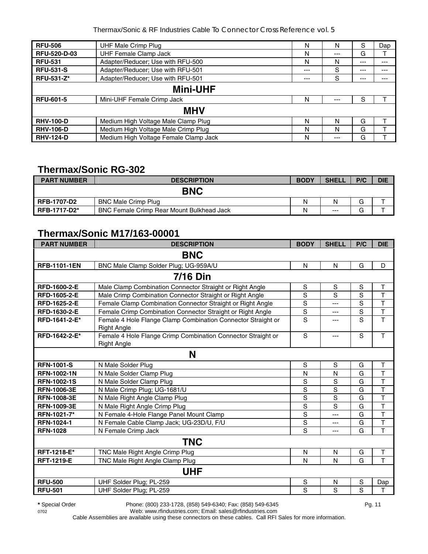| <b>RFU-506</b>      | <b>UHF Male Crimp Plug</b>            | N     | N     | S     | Dap |  |  |  |
|---------------------|---------------------------------------|-------|-------|-------|-----|--|--|--|
| <b>RFU-520-D-03</b> | <b>UHF Female Clamp Jack</b>          | N     | $---$ | G     |     |  |  |  |
| <b>RFU-531</b>      | Adapter/Reducer; Use with RFU-500     | N     | N     | $---$ | --- |  |  |  |
| <b>RFU-531-S</b>    | Adapter/Reducer; Use with RFU-501     | $---$ | S     | $---$ | --- |  |  |  |
| <b>RFU-531-Z*</b>   | Adapter/Reducer; Use with RFU-501     | ---   | S     | ---   | --- |  |  |  |
| <b>Mini-UHF</b>     |                                       |       |       |       |     |  |  |  |
| <b>RFU-601-5</b>    | Mini-UHF Female Crimp Jack            | N     | $---$ | S     |     |  |  |  |
|                     | <b>MHV</b>                            |       |       |       |     |  |  |  |
| <b>RHV-100-D</b>    | Medium High Voltage Male Clamp Plug   | N     | N     | G     |     |  |  |  |
| <b>RHV-106-D</b>    | Medium High Voltage Male Crimp Plug   | N     | N     | G     |     |  |  |  |
| <b>RHV-124-D</b>    | Medium High Voltage Female Clamp Jack | N     | ---   | G     |     |  |  |  |

# **Thermax/Sonic RG-302**

| <b>PART NUMBER</b>  | <b>DESCRIPTION</b>                               | <b>BODY</b> | <b>SHELL</b> | P/C    | <b>DIE</b> |
|---------------------|--------------------------------------------------|-------------|--------------|--------|------------|
|                     | <b>BNC</b>                                       |             |              |        |            |
| <b>RFB-1707-D2</b>  | <b>BNC Male Crimp Plug</b>                       | Ν           | Ν            | G      |            |
| <b>RFB-1717-D2*</b> | <b>BNC Female Crimp Rear Mount Bulkhead Jack</b> | Ν           | $- - -$      | ⌒<br>G |            |

# **Thermax/Sonic M17/163-00001**

| <b>PART NUMBER</b>  | <b>DESCRIPTION</b>                                                                 | <b>BODY</b>    | <b>SHELL</b> | P/C            | <b>DIE</b>              |  |  |  |  |
|---------------------|------------------------------------------------------------------------------------|----------------|--------------|----------------|-------------------------|--|--|--|--|
| <b>BNC</b>          |                                                                                    |                |              |                |                         |  |  |  |  |
| <b>RFB-1101-1EN</b> | BNC Male Clamp Solder Plug; UG-959A/U                                              | N              | N            | G              | D                       |  |  |  |  |
|                     | <b>7/16 Din</b>                                                                    |                |              |                |                         |  |  |  |  |
| RFD-1600-2-E        | Male Clamp Combination Connector Straight or Right Angle                           | S              | $\mathbf S$  | S              | T                       |  |  |  |  |
| RFD-1605-2-E        | Male Crimp Combination Connector Straight or Right Angle                           | S              | S            | $\overline{s}$ | $\overline{\mathsf{T}}$ |  |  |  |  |
| RFD-1625-2-E        | Female Clamp Combination Connector Straight or Right Angle                         | S              | ---          | S              | T                       |  |  |  |  |
| RFD-1630-2-E        | Female Crimp Combination Connector Straight or Right Angle                         | S              | ---          | S              | $\mathsf T$             |  |  |  |  |
| RFD-1641-2-E*       | Female 4 Hole Flange Clamp Combination Connector Straight or<br><b>Right Angle</b> | S              | ---          | $\overline{s}$ | $\overline{\mathsf{T}}$ |  |  |  |  |
| RFD-1642-2-E*       | Female 4 Hole Flange Crimp Combination Connector Straight or<br><b>Right Angle</b> | S              | ---          | S              | T                       |  |  |  |  |
|                     | N                                                                                  |                |              |                |                         |  |  |  |  |
| <b>RFN-1001-S</b>   | N Male Solder Plug                                                                 | S              | $\mathbf S$  | G              | T                       |  |  |  |  |
| <b>RFN-1002-1N</b>  | N Male Solder Clamp Plug                                                           | N              | N            | G              | $\top$                  |  |  |  |  |
| <b>RFN-1002-1S</b>  | N Male Solder Clamp Plug                                                           | S              | S            | G              | $\top$                  |  |  |  |  |
| <b>RFN-1006-3E</b>  | N Male Crimp Plug; UG-1681/U                                                       | S              | S            | G              | $\mathsf T$             |  |  |  |  |
| <b>RFN-1008-3E</b>  | N Male Right Angle Clamp Plug                                                      | S              | $\mathbf S$  | G              | T                       |  |  |  |  |
| <b>RFN-1009-3E</b>  | N Male Right Angle Crimp Plug                                                      | S              | S            | G              | $\overline{\mathsf{T}}$ |  |  |  |  |
| RFN-1021-7*         | N Female 4-Hole Flange Panel Mount Clamp                                           | $\overline{s}$ | ---          | G              | $\overline{\mathsf{T}}$ |  |  |  |  |
| <b>RFN-1024-1</b>   | N Female Cable Clamp Jack; UG-23D/U, F/U                                           | S              | ---          | G              | $\overline{\mathsf{T}}$ |  |  |  |  |
| <b>RFN-1028</b>     | N Female Crimp Jack                                                                | S              | ---          | G              | T                       |  |  |  |  |
|                     | <b>TNC</b>                                                                         |                |              |                |                         |  |  |  |  |
| RFT-1218-E*         | TNC Male Right Angle Crimp Plug                                                    | N              | N            | G              | T                       |  |  |  |  |
| <b>RFT-1219-E</b>   | TNC Male Right Angle Clamp Plug                                                    | N              | N            | G              | T                       |  |  |  |  |
|                     | <b>UHF</b>                                                                         |                |              |                |                         |  |  |  |  |
| <b>RFU-500</b>      | UHF Solder Plug; PL-259                                                            | S              | N            | $\mathbf S$    | Dap                     |  |  |  |  |
| <b>RFU-501</b>      | UHF Solder Plug; PL-259                                                            | S              | S            | $\overline{s}$ | $\mathsf{T}$            |  |  |  |  |

**\*** Special Order Phone: (800) 233-1728, (858) 549-6340; Fax: (858) 549-6345 Pg. 11

0702 Web: www.rfindustries.com; Email: sales@rfindustries.com Cable Assemblies are available using these connectors on these cables. Call RFI Sales for more information.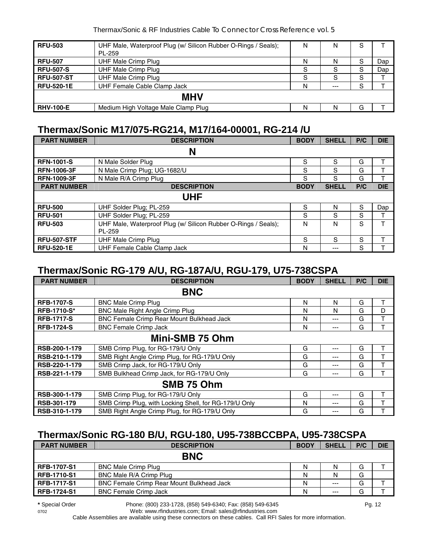| <b>RFU-503</b>    | UHF Male, Waterproof Plug (w/ Silicon Rubber O-Rings / Seals);<br>PL-259 | N | N    | S |     |  |  |  |
|-------------------|--------------------------------------------------------------------------|---|------|---|-----|--|--|--|
| <b>RFU-507</b>    | UHF Male Crimp Plug                                                      | N | N    | S | Dap |  |  |  |
| <b>RFU-507-S</b>  | <b>UHF Male Crimp Plug</b>                                               | S | S    | S | Dap |  |  |  |
| <b>RFU-507-ST</b> | <b>UHF Male Crimp Plug</b>                                               | S | S    | S |     |  |  |  |
| <b>RFU-520-1E</b> | UHF Female Cable Clamp Jack                                              | N | $--$ | S |     |  |  |  |
| <b>MHV</b>        |                                                                          |   |      |   |     |  |  |  |
| <b>RHV-100-E</b>  | Medium High Voltage Male Clamp Plug                                      | N | N    | G |     |  |  |  |

## **Thermax/Sonic M17/075-RG214, M17/164-00001, RG-214 /U**

| <b>PART NUMBER</b> | <b>DESCRIPTION</b>                                                       | <b>BODY</b> | <b>SHELL</b> | P/C | <b>DIE</b> |
|--------------------|--------------------------------------------------------------------------|-------------|--------------|-----|------------|
|                    | N                                                                        |             |              |     |            |
| <b>RFN-1001-S</b>  | N Male Solder Plug                                                       | S           | S            | G   | т          |
| <b>RFN-1006-3F</b> | N Male Crimp Plug; UG-1682/U                                             | S           | S            | G   | т          |
| <b>RFN-1009-3F</b> | N Male R/A Crimp Plug                                                    | S           | S            | G   | т          |
| <b>PART NUMBER</b> | <b>DESCRIPTION</b>                                                       | <b>BODY</b> | <b>SHELL</b> | P/C | <b>DIE</b> |
|                    | UHF                                                                      |             |              |     |            |
| <b>RFU-500</b>     | UHF Solder Plug; PL-259                                                  | S           | N            | S   | Dap        |
| <b>RFU-501</b>     | UHF Solder Plug; PL-259                                                  | S           | S            | S   |            |
| <b>RFU-503</b>     | UHF Male, Waterproof Plug (w/ Silicon Rubber O-Rings / Seals);<br>PL-259 | N           | N            | S   | т          |
| <b>RFU-507-STF</b> | <b>UHF Male Crimp Plug</b>                                               | S           | S            | S   | т          |
| <b>RFU-520-1E</b>  | UHF Female Cable Clamp Jack                                              | N           | $---$        | S   |            |

# **Thermax/Sonic RG-179 A/U, RG-187A/U, RGU-179, U75-738CSPA**

| <b>PART NUMBER</b> | <b>DESCRIPTION</b>                                    | <b>BODY</b> | <b>SHELL</b> | P/C | <b>DIE</b> |  |  |  |
|--------------------|-------------------------------------------------------|-------------|--------------|-----|------------|--|--|--|
|                    | <b>BNC</b>                                            |             |              |     |            |  |  |  |
| <b>RFB-1707-S</b>  | <b>BNC Male Crimp Plug</b>                            | N           | N            | G   | т          |  |  |  |
| <b>RFB-1710-S*</b> | <b>BNC Male Right Angle Crimp Plug</b>                | N           | N            | G   | D          |  |  |  |
| <b>RFB-1717-S</b>  | BNC Female Crimp Rear Mount Bulkhead Jack             | N           | ---          | G   | т          |  |  |  |
| <b>RFB-1724-S</b>  | <b>BNC Female Crimp Jack</b>                          | N           | ---          | G   |            |  |  |  |
| Mini-SMB 75 Ohm    |                                                       |             |              |     |            |  |  |  |
| RSB-200-1-179      | SMB Crimp Plug, for RG-179/U Only                     | G           | ---          | G   | т          |  |  |  |
| RSB-210-1-179      | SMB Right Angle Crimp Plug, for RG-179/U Only         | G           | ---          | G   |            |  |  |  |
| RSB-220-1-179      | SMB Crimp Jack, for RG-179/U Only                     | G           | ---          | G   |            |  |  |  |
| RSB-221-1-179      | SMB Bulkhead Crimp Jack, for RG-179/U Only            | G           | ---          | G   |            |  |  |  |
|                    | SMB 75 Ohm                                            |             |              |     |            |  |  |  |
| RSB-300-1-179      | SMB Crimp Plug, for RG-179/U Only                     | G           | ---          | G   |            |  |  |  |
| RSB-301-179        | SMB Crimp Plug, with Locking Shell, for RG-179/U Only | N           | ---          | G   |            |  |  |  |
| RSB-310-1-179      | SMB Right Angle Crimp Plug, for RG-179/U Only         | G           | ---          | G   |            |  |  |  |

# **Thermax/Sonic RG-180 B/U, RGU-180, U95-738BCCBPA, U95-738CSPA**

| <b>PART NUMBER</b> | <b>DESCRIPTION</b>                               | <b>BODY</b> | <b>SHELL</b> | P/C | <b>DIE</b> |
|--------------------|--------------------------------------------------|-------------|--------------|-----|------------|
|                    | <b>BNC</b>                                       |             |              |     |            |
| <b>RFB-1707-S1</b> | <b>BNC Male Crimp Plug</b>                       | N           | Ν            | G   |            |
| <b>RFB-1710-S1</b> | BNC Male R/A Crimp Plug                          | N           | N            | G   |            |
| <b>RFB-1717-S1</b> | <b>BNC Female Crimp Rear Mount Bulkhead Jack</b> | N           | $--$         | G   |            |
| <b>RFB-1724-S1</b> | <b>BNC Female Crimp Jack</b>                     | N           | $--$         | G   |            |

0702 Web: www.rfindustries.com; Email: sales@rfindustries.com